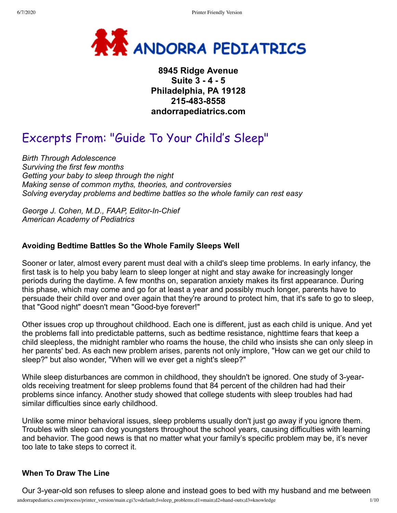

## **8945 Ridge Avenue Suite 3 - 4 - 5 Philadelphia, PA 19128 215-483-8558 andorrapediatrics.com**

# Excerpts From: "Guide To Your Child's Sleep"

*Birth Through Adolescence Surviving the first few months Getting your baby to sleep through the night Making sense of common myths, theories, and controversies Solving everyday problems and bedtime battles so the whole family can rest easy*

*George J. Cohen, M.D., FAAP, Editor-In-Chief American Academy of Pediatrics*

## **Avoiding Bedtime Battles So the Whole Family Sleeps Well**

Sooner or later, almost every parent must deal with a child's sleep time problems. In early infancy, the first task is to help you baby learn to sleep longer at night and stay awake for increasingly longer periods during the daytime. A few months on, separation anxiety makes its first appearance. During this phase, which may come and go for at least a year and possibly much longer, parents have to persuade their child over and over again that they're around to protect him, that it's safe to go to sleep, that "Good night" doesn't mean "Good-bye forever!"

Other issues crop up throughout childhood. Each one is different, just as each child is unique. And yet the problems fall into predictable patterns, such as bedtime resistance, nighttime fears that keep a child sleepless, the midnight rambler who roams the house, the child who insists she can only sleep in her parents' bed. As each new problem arises, parents not only implore, "How can we get our child to sleep?" but also wonder, "When will we ever get a night's sleep?"

While sleep disturbances are common in childhood, they shouldn't be ignored. One study of 3-yearolds receiving treatment for sleep problems found that 84 percent of the children had had their problems since infancy. Another study showed that college students with sleep troubles had had similar difficulties since early childhood.

Unlike some minor behavioral issues, sleep problems usually don't just go away if you ignore them. Troubles with sleep can dog youngsters throughout the school years, causing difficulties with learning and behavior. The good news is that no matter what your family's specific problem may be, it's never too late to take steps to correct it.

### **When To Draw The Line**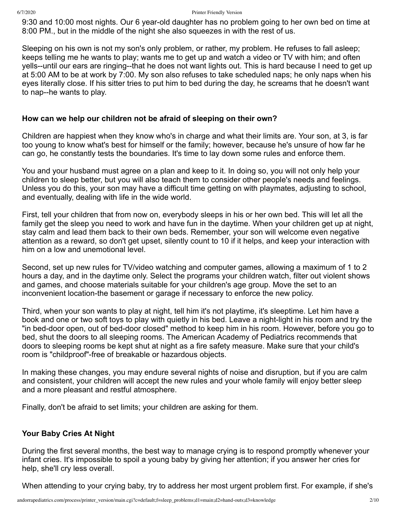9:30 and 10:00 most nights. Our 6 year-old daughter has no problem going to her own bed on time at 8:00 PM., but in the middle of the night she also squeezes in with the rest of us.

Sleeping on his own is not my son's only problem, or rather, my problem. He refuses to fall asleep; keeps telling me he wants to play; wants me to get up and watch a video or TV with him; and often yells--until our ears are ringing--that he does not want lights out. This is hard because I need to get up at 5:00 AM to be at work by 7:00. My son also refuses to take scheduled naps; he only naps when his eyes literally close. If his sitter tries to put him to bed during the day, he screams that he doesn't want to nap--he wants to play.

#### **How can we help our children not be afraid of sleeping on their own?**

Children are happiest when they know who's in charge and what their limits are. Your son, at 3, is far too young to know what's best for himself or the family; however, because he's unsure of how far he can go, he constantly tests the boundaries. It's time to lay down some rules and enforce them.

You and your husband must agree on a plan and keep to it. In doing so, you will not only help your children to sleep better, but you will also teach them to consider other people's needs and feelings. Unless you do this, your son may have a difficult time getting on with playmates, adjusting to school, and eventually, dealing with life in the wide world.

First, tell your children that from now on, everybody sleeps in his or her own bed. This will let all the family get the sleep you need to work and have fun in the daytime. When your children get up at night, stay calm and lead them back to their own beds. Remember, your son will welcome even negative attention as a reward, so don't get upset, silently count to 10 if it helps, and keep your interaction with him on a low and unemotional level.

Second, set up new rules for TV/video watching and computer games, allowing a maximum of 1 to 2 hours a day, and in the daytime only. Select the programs your children watch, filter out violent shows and games, and choose materials suitable for your children's age group. Move the set to an inconvenient location-the basement or garage if necessary to enforce the new policy.

Third, when your son wants to play at night, tell him it's not playtime, it's sleeptime. Let him have a book and one or two soft toys to play with quietly in his bed. Leave a night-light in his room and try the "in bed-door open, out of bed-door closed" method to keep him in his room. However, before you go to bed, shut the doors to all sleeping rooms. The American Academy of Pediatrics recommends that doors to sleeping rooms be kept shut at night as a fire safety measure. Make sure that your child's room is "childproof"-free of breakable or hazardous objects.

In making these changes, you may endure several nights of noise and disruption, but if you are calm and consistent, your children will accept the new rules and your whole family will enjoy better sleep and a more pleasant and restful atmosphere.

Finally, don't be afraid to set limits; your children are asking for them.

#### **Your Baby Cries At Night**

During the first several months, the best way to manage crying is to respond promptly whenever your infant cries. It's impossible to spoil a young baby by giving her attention; if you answer her cries for help, she'll cry less overall.

When attending to your crying baby, try to address her most urgent problem first. For example, if she's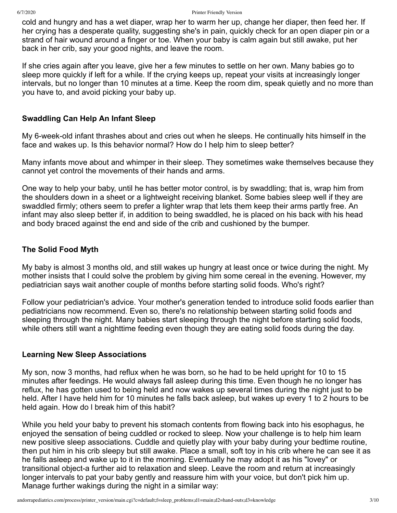cold and hungry and has a wet diaper, wrap her to warm her up, change her diaper, then feed her. If her crying has a desperate quality, suggesting she's in pain, quickly check for an open diaper pin or a strand of hair wound around a finger or toe. When your baby is calm again but still awake, put her back in her crib, say your good nights, and leave the room.

If she cries again after you leave, give her a few minutes to settle on her own. Many babies go to sleep more quickly if left for a while. If the crying keeps up, repeat your visits at increasingly longer intervals, but no longer than 10 minutes at a time. Keep the room dim, speak quietly and no more than you have to, and avoid picking your baby up.

#### **Swaddling Can Help An Infant Sleep**

My 6-week-old infant thrashes about and cries out when he sleeps. He continually hits himself in the face and wakes up. Is this behavior normal? How do I help him to sleep better?

Many infants move about and whimper in their sleep. They sometimes wake themselves because they cannot yet control the movements of their hands and arms.

One way to help your baby, until he has better motor control, is by swaddling; that is, wrap him from the shoulders down in a sheet or a lightweight receiving blanket. Some babies sleep well if they are swaddled firmly; others seem to prefer a lighter wrap that lets them keep their arms partly free. An infant may also sleep better if, in addition to being swaddled, he is placed on his back with his head and body braced against the end and side of the crib and cushioned by the bumper.

#### **The Solid Food Myth**

My baby is almost 3 months old, and still wakes up hungry at least once or twice during the night. My mother insists that I could solve the problem by giving him some cereal in the evening. However, my pediatrician says wait another couple of months before starting solid foods. Who's right?

Follow your pediatrician's advice. Your mother's generation tended to introduce solid foods earlier than pediatricians now recommend. Even so, there's no relationship between starting solid foods and sleeping through the night. Many babies start sleeping through the night before starting solid foods, while others still want a nighttime feeding even though they are eating solid foods during the day.

### **Learning New Sleep Associations**

My son, now 3 months, had reflux when he was born, so he had to be held upright for 10 to 15 minutes after feedings. He would always fall asleep during this time. Even though he no longer has reflux, he has gotten used to being held and now wakes up several times during the night just to be held. After I have held him for 10 minutes he falls back asleep, but wakes up every 1 to 2 hours to be held again. How do l break him of this habit?

While you held your baby to prevent his stomach contents from flowing back into his esophagus, he enjoyed the sensation of being cuddled or rocked to sleep. Now your challenge is to help him learn new positive sleep associations. Cuddle and quietly play with your baby during your bedtime routine, then put him in his crib sleepy but still awake. Place a small, soft toy in his crib where he can see it as he falls asleep and wake up to it in the morning. Eventually he may adopt it as his "lovey" or transitional object-a further aid to relaxation and sleep. Leave the room and return at increasingly longer intervals to pat your baby gently and reassure him with your voice, but don't pick him up. Manage further wakings during the night in a similar way: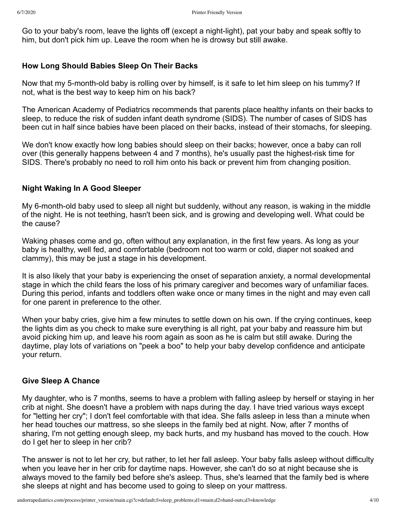Go to your baby's room, leave the lights off (except a night-light), pat your baby and speak softly to him, but don't pick him up. Leave the room when he is drowsy but still awake.

### **How Long Should Babies Sleep On Their Backs**

Now that my 5-month-old baby is rolling over by himself, is it safe to let him sleep on his tummy? If not, what is the best way to keep him on his back?

The American Academy of Pediatrics recommends that parents place healthy infants on their backs to sleep, to reduce the risk of sudden infant death syndrome (SIDS). The number of cases of SIDS has been cut in half since babies have been placed on their backs, instead of their stomachs, for sleeping.

We don't know exactly how long babies should sleep on their backs; however, once a baby can roll over (this generally happens between 4 and 7 months), he's usually past the highest-risk time for SIDS. There's probably no need to roll him onto his back or prevent him from changing position.

### **Night Waking In A Good Sleeper**

My 6-month-old baby used to sleep all night but suddenly, without any reason, is waking in the middle of the night. He is not teething, hasn't been sick, and is growing and developing well. What could be the cause?

Waking phases come and go, often without any explanation, in the first few years. As long as your baby is healthy, well fed, and comfortable (bedroom not too warm or cold, diaper not soaked and clammy), this may be just a stage in his development.

It is also likely that your baby is experiencing the onset of separation anxiety, a normal developmental stage in which the child fears the loss of his primary caregiver and becomes wary of unfamiliar faces. During this period, infants and toddlers often wake once or many times in the night and may even call for one parent in preference to the other.

When your baby cries, give him a few minutes to settle down on his own. If the crying continues, keep the lights dim as you check to make sure everything is all right, pat your baby and reassure him but avoid picking him up, and leave his room again as soon as he is calm but still awake. During the daytime, play lots of variations on "peek a boo" to help your baby develop confidence and anticipate your return.

#### **Give Sleep A Chance**

My daughter, who is 7 months, seems to have a problem with falling asleep by herself or staying in her crib at night. She doesn't have a problem with naps during the day. I have tried various ways except for "letting her cry"; I don't feel comfortable with that idea. She falls asleep in less than a minute when her head touches our mattress, so she sleeps in the family bed at night. Now, after 7 months of sharing, I'm not getting enough sleep, my back hurts, and my husband has moved to the couch. How do I get her to sleep in her crib?

The answer is not to let her cry, but rather, to let her fall asleep. Your baby falls asleep without difficulty when you leave her in her crib for daytime naps. However, she can't do so at night because she is always moved to the family bed before she's asleep. Thus, she's learned that the family bed is where she sleeps at night and has become used to going to sleep on your mattress.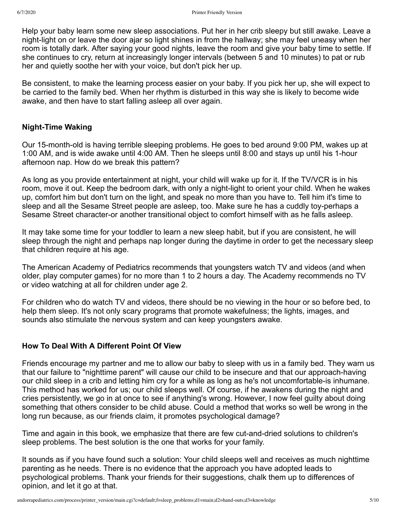Help your baby learn some new sleep associations. Put her in her crib sleepy but still awake. Leave a night-light on or leave the door ajar so light shines in from the hallway; she may feel uneasy when her room is totally dark. After saying your good nights, leave the room and give your baby time to settle. If she continues to cry, return at increasingly longer intervals (between 5 and 10 minutes) to pat or rub her and quietly soothe her with your voice, but don't pick her up.

Be consistent, to make the learning process easier on your baby. If you pick her up, she will expect to be carried to the family bed. When her rhythm is disturbed in this way she is likely to become wide awake, and then have to start falling asleep all over again.

#### **Night-Time Waking**

Our 15-month-old is having terrible sleeping problems. He goes to bed around 9:00 PM, wakes up at 1:00 AM, and is wide awake until 4:00 AM. Then he sleeps until 8:00 and stays up until his 1-hour afternoon nap. How do we break this pattern?

As long as you provide entertainment at night, your child will wake up for it. If the TV/VCR is in his room, move it out. Keep the bedroom dark, with only a night-light to orient your child. When he wakes up, comfort him but don't turn on the light, and speak no more than you have to. Tell him it's time to sleep and all the Sesame Street people are asleep, too. Make sure he has a cuddly toy-perhaps a Sesame Street character-or another transitional object to comfort himself with as he falls asleep.

It may take some time for your toddler to learn a new sleep habit, but if you are consistent, he will sleep through the night and perhaps nap longer during the daytime in order to get the necessary sleep that children require at his age.

The American Academy of Pediatrics recommends that youngsters watch TV and videos (and when older, play computer games) for no more than 1 to 2 hours a day. The Academy recommends no TV or video watching at all for children under age 2.

For children who do watch TV and videos, there should be no viewing in the hour or so before bed, to help them sleep. It's not only scary programs that promote wakefulness; the lights, images, and sounds also stimulate the nervous system and can keep youngsters awake.

### **How To Deal With A Different Point Of View**

Friends encourage my partner and me to allow our baby to sleep with us in a family bed. They warn us that our failure to "nighttime parent" will cause our child to be insecure and that our approach-having our child sleep in a crib and letting him cry for a while as long as he's not uncomfortable-is inhumane. This method has worked for us; our child sleeps well. Of course, if he awakens during the night and cries persistently, we go in at once to see if anything's wrong. However, I now feel guilty about doing something that others consider to be child abuse. Could a method that works so well be wrong in the long run because, as our friends claim, it promotes psychological damage?

Time and again in this book, we emphasize that there are few cut-and-dried solutions to children's sleep problems. The best solution is the one that works for your family.

It sounds as if you have found such a solution: Your child sleeps well and receives as much nighttime parenting as he needs. There is no evidence that the approach you have adopted leads to psychological problems. Thank your friends for their suggestions, chalk them up to differences of opinion, and let it go at that.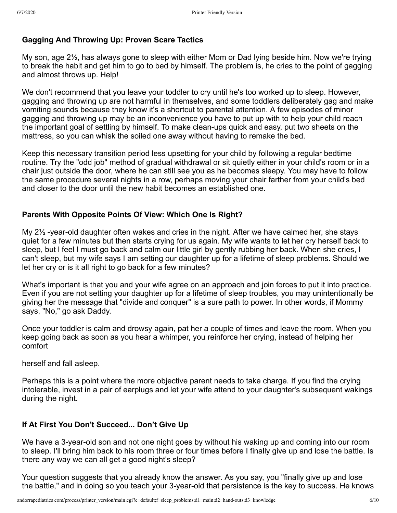## **Gagging And Throwing Up: Proven Scare Tactics**

My son, age 2½, has always gone to sleep with either Mom or Dad lying beside him. Now we're trying to break the habit and get him to go to bed by himself. The problem is, he cries to the point of gagging and almost throws up. Help!

We don't recommend that you leave your toddler to cry until he's too worked up to sleep. However, gagging and throwing up are not harmful in themselves, and some toddlers deliberately gag and make vomiting sounds because they know it's a shortcut to parental attention. A few episodes of minor gagging and throwing up may be an inconvenience you have to put up with to help your child reach the important goal of settling by himself. To make clean-ups quick and easy, put two sheets on the mattress, so you can whisk the soiled one away without having to remake the bed.

Keep this necessary transition period less upsetting for your child by following a regular bedtime routine. Try the "odd job" method of gradual withdrawal or sit quietly either in your child's room or in a chair just outside the door, where he can still see you as he becomes sleepy. You may have to follow the same procedure several nights in a row, perhaps moving your chair farther from your child's bed and closer to the door until the new habit becomes an established one.

#### **Parents With Opposite Points Of View: Which One Is Right?**

My 2½ -year-old daughter often wakes and cries in the night. After we have calmed her, she stays quiet for a few minutes but then starts crying for us again. My wife wants to let her cry herself back to sleep, but l feel I must go back and calm our little girl by gently rubbing her back. When she cries, I can't sleep, but my wife says I am setting our daughter up for a lifetime of sleep problems. Should we let her cry or is it all right to go back for a few minutes?

What's important is that you and your wife agree on an approach and join forces to put it into practice. Even if you are not setting your daughter up for a lifetime of sleep troubles, you may unintentionally be giving her the message that "divide and conquer" is a sure path to power. In other words, if Mommy says, "No," go ask Daddy.

Once your toddler is calm and drowsy again, pat her a couple of times and leave the room. When you keep going back as soon as you hear a whimper, you reinforce her crying, instead of helping her comfort

herself and fall asleep.

Perhaps this is a point where the more objective parent needs to take charge. If you find the crying intolerable, invest in a pair of earplugs and let your wife attend to your daughter's subsequent wakings during the night.

### **If At First You Don't Succeed... Don't Give Up**

We have a 3-year-old son and not one night goes by without his waking up and coming into our room to sleep. I'll bring him back to his room three or four times before I finally give up and lose the battle. Is there any way we can all get a good night's sleep?

Your question suggests that you already know the answer. As you say, you "finally give up and lose the battle," and in doing so you teach your 3-year-old that persistence is the key to success. He knows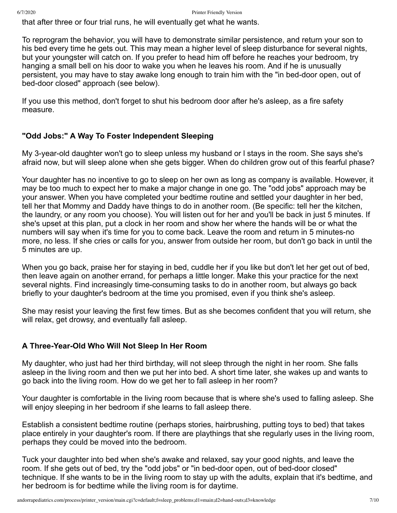that after three or four trial runs, he will eventually get what he wants.

To reprogram the behavior, you will have to demonstrate similar persistence, and return your son to his bed every time he gets out. This may mean a higher level of sleep disturbance for several nights, but your youngster will catch on. If you prefer to head him off before he reaches your bedroom, try hanging a small bell on his door to wake you when he leaves his room. And if he is unusually persistent, you may have to stay awake long enough to train him with the "in bed-door open, out of bed-door closed" approach (see below).

If you use this method, don't forget to shut his bedroom door after he's asleep, as a fire safety measure.

## **"Odd Jobs:" A Way To Foster Independent Sleeping**

My 3-year-old daughter won't go to sleep unless my husband or l stays in the room. She says she's afraid now, but will sleep alone when she gets bigger. When do children grow out of this fearful phase?

Your daughter has no incentive to go to sleep on her own as long as company is available. However, it may be too much to expect her to make a major change in one go. The "odd jobs" approach may be your answer. When you have completed your bedtime routine and settled your daughter in her bed, tell her that Mommy and Daddy have things to do in another room. (Be specific: tell her the kitchen, the laundry, or any room you choose). You will listen out for her and you'll be back in just 5 minutes. If she's upset at this plan, put a clock in her room and show her where the hands will be or what the numbers will say when it's time for you to come back. Leave the room and return in 5 minutes-no more, no less. If she cries or calls for you, answer from outside her room, but don't go back in until the 5 minutes are up.

When you go back, praise her for staying in bed, cuddle her if you like but don't let her get out of bed, then leave again on another errand, for perhaps a little longer. Make this your practice for the next several nights. Find increasingly time-consuming tasks to do in another room, but always go back briefly to your daughter's bedroom at the time you promised, even if you think she's asleep.

She may resist your leaving the first few times. But as she becomes confident that you will return, she will relax, get drowsy, and eventually fall asleep.

### **A Three-Year-Old Who Will Not Sleep In Her Room**

My daughter, who just had her third birthday, will not sleep through the night in her room. She falls asleep in the living room and then we put her into bed. A short time later, she wakes up and wants to go back into the living room. How do we get her to fall asleep in her room?

Your daughter is comfortable in the living room because that is where she's used to falling asleep. She will enjoy sleeping in her bedroom if she learns to fall asleep there.

Establish a consistent bedtime routine (perhaps stories, hairbrushing, putting toys to bed) that takes place entirely in your daughter's room. If there are playthings that she regularly uses in the living room, perhaps they could be moved into the bedroom.

Tuck your daughter into bed when she's awake and relaxed, say your good nights, and leave the room. If she gets out of bed, try the "odd jobs" or "in bed-door open, out of bed-door closed" technique. If she wants to be in the living room to stay up with the adults, explain that it's bedtime, and her bedroom is for bedtime while the living room is for daytime.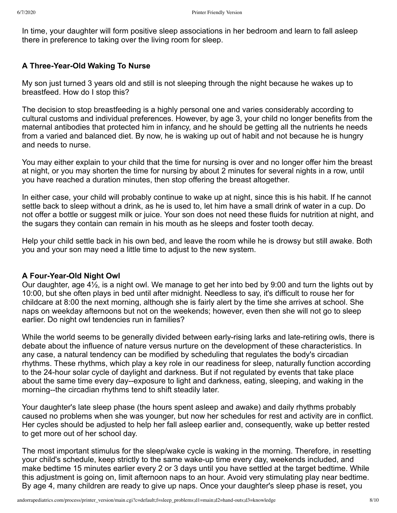In time, your daughter will form positive sleep associations in her bedroom and learn to fall asleep there in preference to taking over the living room for sleep.

## **A Three-Year-Old Waking To Nurse**

My son just turned 3 years old and still is not sleeping through the night because he wakes up to breastfeed. How do I stop this?

The decision to stop breastfeeding is a highly personal one and varies considerably according to cultural customs and individual preferences. However, by age 3, your child no longer benefits from the maternal antibodies that protected him in infancy, and he should be getting all the nutrients he needs from a varied and balanced diet. By now, he is waking up out of habit and not because he is hungry and needs to nurse.

You may either explain to your child that the time for nursing is over and no longer offer him the breast at night, or you may shorten the time for nursing by about 2 minutes for several nights in a row, until you have reached a duration minutes, then stop offering the breast altogether.

In either case, your child will probably continue to wake up at night, since this is his habit. If he cannot settle back to sleep without a drink, as he is used to, let him have a small drink of water in a cup. Do not offer a bottle or suggest milk or juice. Your son does not need these fluids for nutrition at night, and the sugars they contain can remain in his mouth as he sleeps and foster tooth decay.

Help your child settle back in his own bed, and leave the room while he is drowsy but still awake. Both you and your son may need a little time to adjust to the new system.

### **A Four-Year-Old Night Owl**

Our daughter, age 4½, is a night owl. We manage to get her into bed by 9:00 and turn the lights out by 10:00, but she often plays in bed until after midnight. Needless to say, it's difficult to rouse her for childcare at 8:00 the next morning, although she is fairly alert by the time she arrives at school. She naps on weekday afternoons but not on the weekends; however, even then she will not go to sleep earlier. Do night owl tendencies run in families?

While the world seems to be generally divided between early-rising larks and late-retiring owls, there is debate about the influence of nature versus nurture on the development of these characteristics. In any case, a natural tendency can be modified by scheduling that regulates the body's circadian rhythms. These rhythms, which play a key role in our readiness for sleep, naturally function according to the 24-hour solar cycle of daylight and darkness. But if not regulated by events that take place about the same time every day--exposure to light and darkness, eating, sleeping, and waking in the morning--the circadian rhythms tend to shift steadily later.

Your daughter's late sleep phase (the hours spent asleep and awake) and daily rhythms probably caused no problems when she was younger, but now her schedules for rest and activity are in conflict. Her cycles should be adjusted to help her fall asleep earlier and, consequently, wake up better rested to get more out of her school day.

The most important stimulus for the sleep/wake cycle is waking in the morning. Therefore, in resetting your child's schedule, keep strictly to the same wake-up time every day, weekends included, and make bedtime 15 minutes earlier every 2 or 3 days until you have settled at the target bedtime. While this adjustment is going on, limit afternoon naps to an hour. Avoid very stimulating play near bedtime. By age 4, many children are ready to give up naps. Once your daughter's sleep phase is reset, you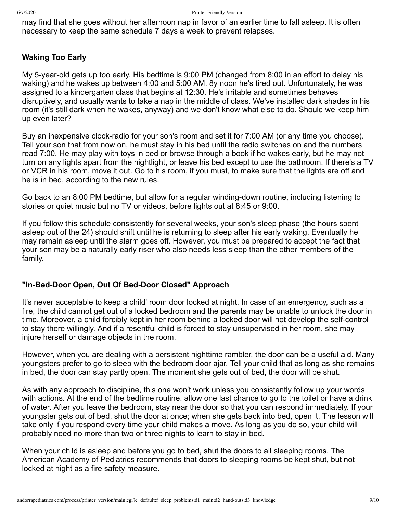may find that she goes without her afternoon nap in favor of an earlier time to fall asleep. It is often necessary to keep the same schedule 7 days a week to prevent relapses.

## **Waking Too Early**

My 5-year-old gets up too early. His bedtime is 9:00 PM (changed from 8:00 in an effort to delay his waking) and he wakes up between 4:00 and 5:00 AM. 8y noon he's tired out. Unfortunately, he was assigned to a kindergarten class that begins at 12:30. He's irritable and sometimes behaves disruptively, and usually wants to take a nap in the middle of class. We've installed dark shades in his room (it's still dark when he wakes, anyway) and we don't know what else to do. Should we keep him up even later?

Buy an inexpensive clock-radio for your son's room and set it for 7:00 AM (or any time you choose). Tell your son that from now on, he must stay in his bed until the radio switches on and the numbers read 7:00. He may play with toys in bed or browse through a book if he wakes early, but he may not turn on any lights apart from the nightlight, or leave his bed except to use the bathroom. If there's a TV or VCR in his room, move it out. Go to his room, if you must, to make sure that the lights are off and he is in bed, according to the new rules.

Go back to an 8:00 PM bedtime, but allow for a regular winding-down routine, including listening to stories or quiet music but no TV or videos, before lights out at 8:45 or 9:00.

If you follow this schedule consistently for several weeks, your son's sleep phase (the hours spent asleep out of the 24) should shift until he is returning to sleep after his early waking. Eventually he may remain asleep until the alarm goes off. However, you must be prepared to accept the fact that your son may be a naturally early riser who also needs less sleep than the other members of the family.

### **"In-Bed-Door Open, Out Of Bed-Door Closed" Approach**

It's never acceptable to keep a child' room door locked at night. In case of an emergency, such as a fire, the child cannot get out of a locked bedroom and the parents may be unable to unlock the door in time. Moreover, a child forcibly kept in her room behind a locked door will not develop the self-control to stay there willingly. And if a resentful child is forced to stay unsupervised in her room, she may injure herself or damage objects in the room.

However, when you are dealing with a persistent nighttime rambler, the door can be a useful aid. Many youngsters prefer to go to sleep with the bedroom door ajar. Tell your child that as long as she remains in bed, the door can stay partly open. The moment she gets out of bed, the door will be shut.

As with any approach to discipline, this one won't work unless you consistently follow up your words with actions. At the end of the bedtime routine, allow one last chance to go to the toilet or have a drink of water. After you leave the bedroom, stay near the door so that you can respond immediately. If your youngster gets out of bed, shut the door at once; when she gets back into bed, open it. The lesson will take only if you respond every time your child makes a move. As long as you do so, your child will probably need no more than two or three nights to learn to stay in bed.

When your child is asleep and before you go to bed, shut the doors to all sleeping rooms. The American Academy of Pediatrics recommends that doors to sleeping rooms be kept shut, but not locked at night as a fire safety measure.